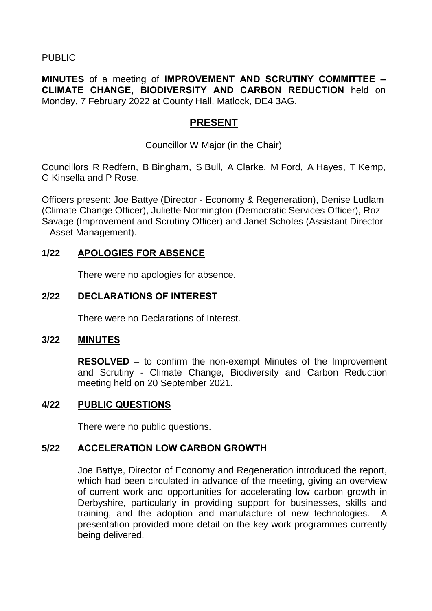PUBLIC

**MINUTES** of a meeting of **IMPROVEMENT AND SCRUTINY COMMITTEE – CLIMATE CHANGE, BIODIVERSITY AND CARBON REDUCTION** held on Monday, 7 February 2022 at County Hall, Matlock, DE4 3AG.

# **PRESENT**

Councillor W Major (in the Chair)

Councillors R Redfern, B Bingham, S Bull, A Clarke, M Ford, A Hayes, T Kemp, G Kinsella and P Rose.

Officers present: Joe Battye (Director - Economy & Regeneration), Denise Ludlam (Climate Change Officer), Juliette Normington (Democratic Services Officer), Roz Savage (Improvement and Scrutiny Officer) and Janet Scholes (Assistant Director – Asset Management).

### **1/22 APOLOGIES FOR ABSENCE**

There were no apologies for absence.

#### **2/22 DECLARATIONS OF INTEREST**

There were no Declarations of Interest.

#### **3/22 MINUTES**

**RESOLVED** – to confirm the non-exempt Minutes of the Improvement and Scrutiny - Climate Change, Biodiversity and Carbon Reduction meeting held on 20 September 2021.

#### **4/22 PUBLIC QUESTIONS**

There were no public questions.

## **5/22 ACCELERATION LOW CARBON GROWTH**

Joe Battye, Director of Economy and Regeneration introduced the report, which had been circulated in advance of the meeting, giving an overview of current work and opportunities for accelerating low carbon growth in Derbyshire, particularly in providing support for businesses, skills and training, and the adoption and manufacture of new technologies. A presentation provided more detail on the key work programmes currently being delivered.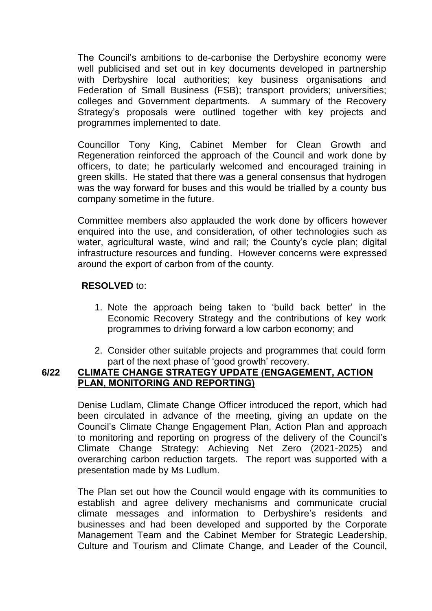The Council's ambitions to de-carbonise the Derbyshire economy were well publicised and set out in key documents developed in partnership with Derbyshire local authorities; key business organisations and Federation of Small Business (FSB); transport providers; universities; colleges and Government departments. A summary of the Recovery Strategy's proposals were outlined together with key projects and programmes implemented to date.

Councillor Tony King, Cabinet Member for Clean Growth and Regeneration reinforced the approach of the Council and work done by officers, to date; he particularly welcomed and encouraged training in green skills. He stated that there was a general consensus that hydrogen was the way forward for buses and this would be trialled by a county bus company sometime in the future.

Committee members also applauded the work done by officers however enquired into the use, and consideration, of other technologies such as water, agricultural waste, wind and rail; the County's cycle plan; digital infrastructure resources and funding. However concerns were expressed around the export of carbon from of the county.

#### **RESOLVED** to:

- 1. Note the approach being taken to 'build back better' in the Economic Recovery Strategy and the contributions of key work programmes to driving forward a low carbon economy; and
- 2. Consider other suitable projects and programmes that could form part of the next phase of 'good growth' recovery.

## **6/22 CLIMATE CHANGE STRATEGY UPDATE (ENGAGEMENT, ACTION PLAN, MONITORING AND REPORTING)**

Denise Ludlam, Climate Change Officer introduced the report, which had been circulated in advance of the meeting, giving an update on the Council's Climate Change Engagement Plan, Action Plan and approach to monitoring and reporting on progress of the delivery of the Council's Climate Change Strategy: Achieving Net Zero (2021-2025) and overarching carbon reduction targets. The report was supported with a presentation made by Ms Ludlum.

The Plan set out how the Council would engage with its communities to establish and agree delivery mechanisms and communicate crucial climate messages and information to Derbyshire's residents and businesses and had been developed and supported by the Corporate Management Team and the Cabinet Member for Strategic Leadership, Culture and Tourism and Climate Change, and Leader of the Council,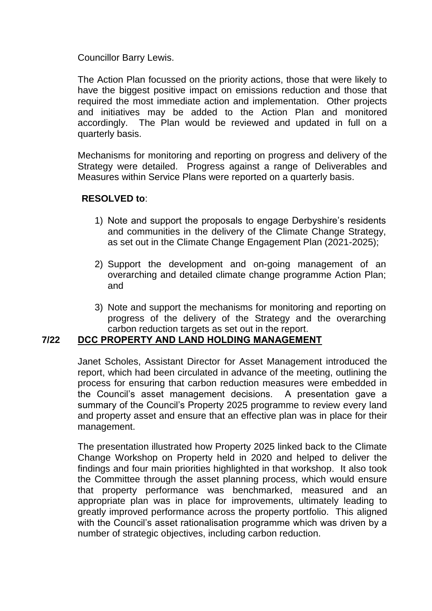Councillor Barry Lewis.

The Action Plan focussed on the priority actions, those that were likely to have the biggest positive impact on emissions reduction and those that required the most immediate action and implementation. Other projects and initiatives may be added to the Action Plan and monitored accordingly. The Plan would be reviewed and updated in full on a quarterly basis.

Mechanisms for monitoring and reporting on progress and delivery of the Strategy were detailed. Progress against a range of Deliverables and Measures within Service Plans were reported on a quarterly basis.

### **RESOLVED to**:

- 1) Note and support the proposals to engage Derbyshire's residents and communities in the delivery of the Climate Change Strategy, as set out in the Climate Change Engagement Plan (2021-2025);
- 2) Support the development and on-going management of an overarching and detailed climate change programme Action Plan; and
- 3) Note and support the mechanisms for monitoring and reporting on progress of the delivery of the Strategy and the overarching carbon reduction targets as set out in the report.

## **7/22 DCC PROPERTY AND LAND HOLDING MANAGEMENT**

Janet Scholes, Assistant Director for Asset Management introduced the report, which had been circulated in advance of the meeting, outlining the process for ensuring that carbon reduction measures were embedded in the Council's asset management decisions. A presentation gave a summary of the Council's Property 2025 programme to review every land and property asset and ensure that an effective plan was in place for their management.

The presentation illustrated how Property 2025 linked back to the Climate Change Workshop on Property held in 2020 and helped to deliver the findings and four main priorities highlighted in that workshop. It also took the Committee through the asset planning process, which would ensure that property performance was benchmarked, measured and an appropriate plan was in place for improvements, ultimately leading to greatly improved performance across the property portfolio. This aligned with the Council's asset rationalisation programme which was driven by a number of strategic objectives, including carbon reduction.